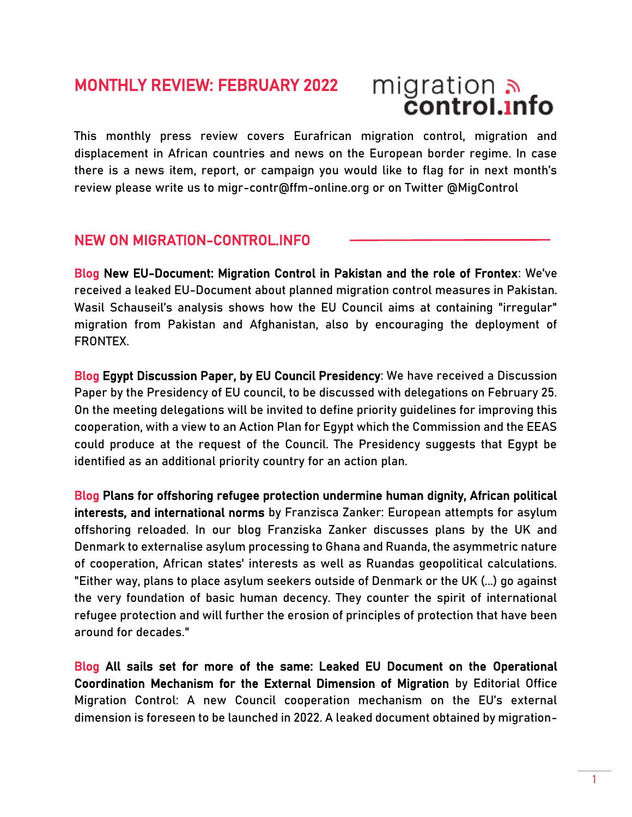# MONTHLY REVIEW: FEBRUARY 2022

# migration<br>**control.info**

This monthly press review covers Eurafrican migration control, migration and displacement in African countries and news on the European border regime. In case there is a news item, report, or campaign you would like to flag for in next month's review please write us to migr-contr@ffm-online.org or on Twitter @MigControl

# NEW ON MIGRATION-CONTROL.INFO

Blog [New EU-Document: Migration Control in Pakistan and the role of Frontex:](https://migration-control.info/new-eu-document-migration-control-in-pakistan-and-the-role-of-frontex/) We've received a leaked EU-Document about planned migration control measures in Pakistan. Wasil Schauseil's analysis shows how the EU Council aims at containing "irregular" migration from Pakistan and Afghanistan, also by encouraging the deployment of FRONTEX.

Blog [Egypt Discussion Paper, by EU Council Presidency:](https://migration-control.info/egypt-discussion-paper-by-eu-council-presidency/) We have received a Discussion Paper by the Presidency of EU council, to be discussed with delegations on February 25. On the meeting delegations will be invited to define priority guidelines for improving this cooperation, with a view to an Action Plan for Egypt which the Commission and the EEAS could produce at the request of the Council. The Presidency suggests that Egypt be identified as an additional priority country for an action plan.

Blog [Plans for offshoring refugee protection undermine human dignity, African political](https://migration-control.info/plans-for-offshoring-refugee-protection-undermine-human-dignity-african-political-interests-and-international-norms/)  [interests, and international norms](https://migration-control.info/plans-for-offshoring-refugee-protection-undermine-human-dignity-african-political-interests-and-international-norms/) by Franzisca Zanker: European attempts for asylum offshoring reloaded. In our blog Franziska Zanker discusses plans by the UK and Denmark to externalise asylum processing to Ghana and Ruanda, the asymmetric nature of cooperation, African states' interests as well as Ruandas geopolitical calculations. "Either way, plans to place asylum seekers outside of Denmark or the UK (...) go against the very foundation of basic human decency. They counter the spirit of international refugee protection and will further the erosion of principles of protection that have been around for decades."

Blog [All sails set for more of the same: Leaked EU Document on the Operational](https://migration-control.info/all-sails-set-for-more-of-the-same-leaked-eu-document-on-the-operational-coordination-mechanism-for-the-external-dimension-of-migration/)  [Coordination Mechanism for the External Dimension of Migration](https://migration-control.info/all-sails-set-for-more-of-the-same-leaked-eu-document-on-the-operational-coordination-mechanism-for-the-external-dimension-of-migration/) by Editorial Office Migration Control: A new Council cooperation mechanism on the EU's external dimension is foreseen to be launched in 2022. A leaked document obtained by migration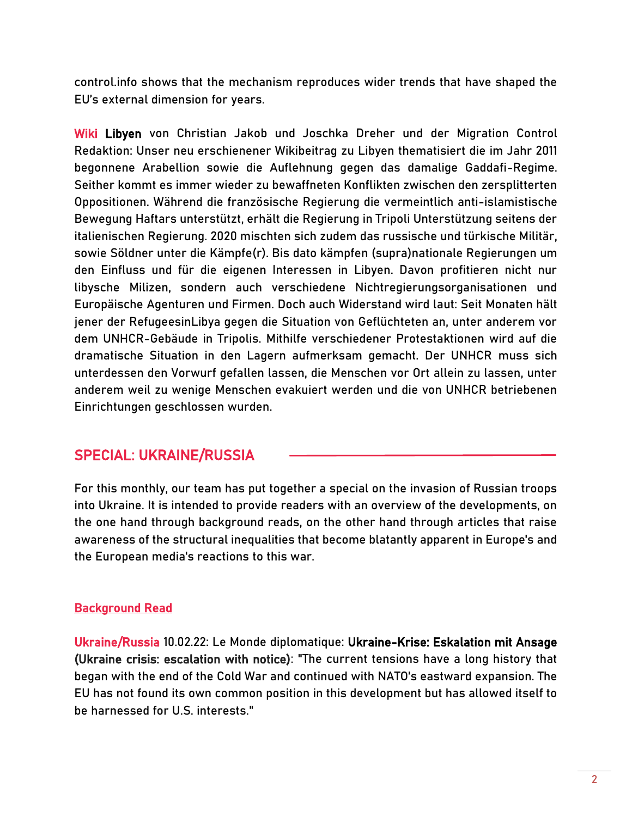control.info shows that the mechanism reproduces wider trends that have shaped the EU's external dimension for years.

Wiki [Libyen](https://migration-control.info/wiki/libyen/) von Christian Jakob und Joschka Dreher und der Migration Control Redaktion: Unser neu erschienener Wikibeitrag zu Libyen thematisiert die im Jahr 2011 begonnene Arabellion sowie die Auflehnung gegen das damalige Gaddafi-Regime. Seither kommt es immer wieder zu bewaffneten Konflikten zwischen den zersplitterten Oppositionen. Während die französische Regierung die vermeintlich anti-islamistische Bewegung Haftars unterstützt, erhält die Regierung in Tripoli Unterstützung seitens der italienischen Regierung. 2020 mischten sich zudem das russische und türkische Militär, sowie Söldner unter die Kämpfe(r). Bis dato kämpfen (supra)nationale Regierungen um den Einfluss und für die eigenen Interessen in Libyen. Davon profitieren nicht nur libysche Milizen, sondern auch verschiedene Nichtregierungsorganisationen und Europäische Agenturen und Firmen. Doch auch Widerstand wird laut: Seit Monaten hält jener der RefugeesinLibya gegen die Situation von Geflüchteten an, unter anderem vor dem UNHCR-Gebäude in Tripolis. Mithilfe verschiedener Protestaktionen wird auf die dramatische Situation in den Lagern aufmerksam gemacht. Der UNHCR muss sich unterdessen den Vorwurf gefallen lassen, die Menschen vor Ort allein zu lassen, unter anderem weil zu wenige Menschen evakuiert werden und die von UNHCR betriebenen Einrichtungen geschlossen wurden.

# SPECIAL: UKRAINE/RUSSIA

For this monthly, our team has put together a special on the invasion of Russian troops into Ukraine. It is intended to provide readers with an overview of the developments, on the one hand through background reads, on the other hand through articles that raise awareness of the structural inequalities that become blatantly apparent in Europe's and the European media's reactions to this war.

#### Background Read

Ukraine/Russia 10.02.22: Le Monde diplomatique: [Ukraine-Krise: Eskalation mit Ansage](https://monde-diplomatique.de/artikel/!5826518)  [\(Ukraine crisis: escalation with notice\):](https://monde-diplomatique.de/artikel/!5826518) "The current tensions have a long history that began with the end of the Cold War and continued with NATO's eastward expansion. The EU has not found its own common position in this development but has allowed itself to be harnessed for U.S. interests."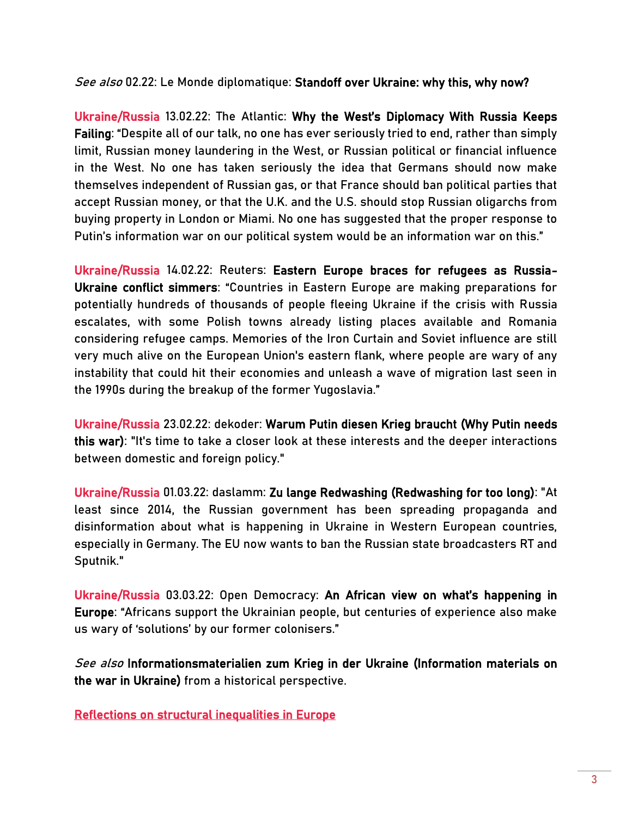See also 02.22: Le Monde diplomatique: [Standoff over Ukraine: why this, why now?](https://mondediplo.com/2022/02/02ukraine)

Ukraine/Russia 13.02.22: The Atlantic: Why the West's [Diplomacy With Russia Keeps](https://www.theatlantic.com/ideas/archive/2022/02/lavrov-russia-diplomacy-ukraine/622075/)  [Failing:](https://www.theatlantic.com/ideas/archive/2022/02/lavrov-russia-diplomacy-ukraine/622075/) "Despite all of our talk, no one has ever seriously tried to end, rather than simply limit, Russian money laundering in the West, or Russian political or financial influence in the West. No one has taken seriously the idea that Germans should now make themselves independent of Russian gas, or that France should ban political parties that accept Russian money, or that the U.K. and the U.S. should stop Russian oligarchs from buying property in London or Miami. No one has suggested that the proper response to Putin's information war on our political system would be an information war on this."

Ukraine/Russia 14.02.22: Reuters: [Eastern Europe braces for refugees as Russia-](https://www.reuters.com/world/europe/eastern-europe-braces-refugees-russia-ukraine-conflict-simmers-2022-02-14/)[Ukraine conflict simmers:](https://www.reuters.com/world/europe/eastern-europe-braces-refugees-russia-ukraine-conflict-simmers-2022-02-14/) "Countries in Eastern Europe are making preparations for potentially hundreds of thousands of people fleeing Ukraine if the crisis with Russia escalates, with some Polish towns already listing places available and Romania considering refugee camps. Memories of the Iron Curtain and Soviet influence are still very much alive on the European Union's eastern flank, where people are wary of any instability that could hit their economies and unleash a wave of migration last seen in the 1990s during the breakup of the former Yugoslavia."

Ukraine/Russia 23.02.22: dekoder: [Warum Putin diesen Krieg braucht](https://www.dekoder.org/de/article/krieg-ukraine-nutzen-putin-analyse) (Why Putin needs this war): "It's time to take a closer look at these interests and the deeper interactions between domestic and foreign policy."

Ukraine/Russia 01.03.22: daslamm: [Zu lange Redwashing \(Redwashing for too long\):](https://daslamm.ch/zu-lange-redwashing-teil-1/) "At least since 2014, the Russian government has been spreading propaganda and disinformation about what is happening in Ukraine in Western European countries, especially in Germany. The EU now wants to ban the Russian state broadcasters RT and Sputnik."

Ukraine/Russia 03.03.22: Open Democracy: [An African view on what's happening in](https://www.opendemocracy.net/en/5050/an-african-view-of-whats-happening-in-europe/)  [Europe:](https://www.opendemocracy.net/en/5050/an-african-view-of-whats-happening-in-europe/) "Africans support the Ukrainian people, but centuries of experience also make us wary of 'solutions' by our former colonisers."

See also [Informationsmaterialien zum Krieg in der Ukraine](https://www.hsozkult.de/text/id/texte-5394?title=informationsmaterialien-zum-krieg-in-der-ukraine) (Information materials on the war in Ukraine) from a historical perspective.

Reflections on structural inequalities in Europe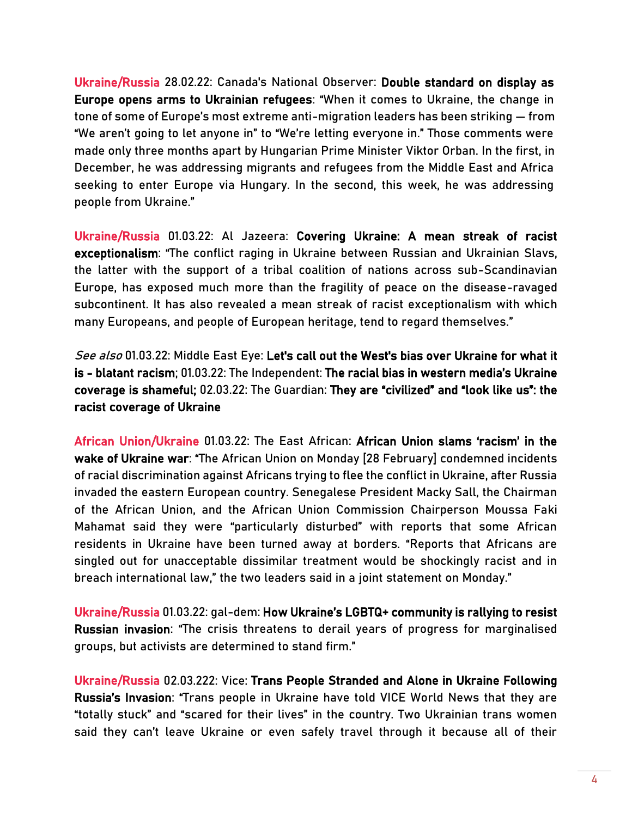Ukraine/Russia 28.02.22: Canada's National Observer: [Double standard on display as](https://www.nationalobserver.com/2022/02/28/news/double-standard-europe-ukrainian-refugees)  [Europe opens arms to Ukrainian refugees:](https://www.nationalobserver.com/2022/02/28/news/double-standard-europe-ukrainian-refugees) "When it comes to Ukraine, the change in tone of some of Europe's most extreme anti-migration leaders has been striking — from "We aren't going to let anyone in" to "We're letting everyone in." Those comments were made only three months apart by Hungarian Prime Minister Viktor Orban. In the first, in December, he was addressing migrants and refugees from the Middle East and Africa seeking to enter Europe via Hungary. In the second, this week, he was addressing people from Ukraine."

Ukraine/Russia 01.03.22: Al Jazeera: [Covering Ukraine: A mean streak of racist](https://www.aljazeera.com/opinions/2022/3/1/covering-ukraine-a-mean-streak-of-racist-exceptionalism)  [exceptionalism](https://www.aljazeera.com/opinions/2022/3/1/covering-ukraine-a-mean-streak-of-racist-exceptionalism): "The conflict raging in Ukraine between Russian and Ukrainian Slavs, the latter with the support of a tribal coalition of nations across sub-Scandinavian Europe, has exposed much more than the fragility of peace on the disease-ravaged subcontinent. It has also revealed a mean streak of racist exceptionalism with which many Europeans, and people of European heritage, tend to regard themselves."

See also 01.03.22: Middle East Eye: Let's call out the West's bias over Ukraine for what it [is - blatant racism;](https://www.middleeasteye.net/opinion/russia-ukraine-war-media-bias-west-blatant-racism) 01.03.22: The Independent: [The racial bias in western media's Ukraine](https://www.independent.co.uk/voices/ukraine-refugees-racial-bias-western-media-b2024864.html)  [coverage is shameful;](https://www.independent.co.uk/voices/ukraine-refugees-racial-bias-western-media-b2024864.html) 02.03.22: The Guardian: [They are "civilized" and "look like us": the](https://www.theguardian.com/commentisfree/2022/mar/02/civilised-european-look-like-us-racist-coverage-ukraine)  [racist coverage of Ukraine](https://www.theguardian.com/commentisfree/2022/mar/02/civilised-european-look-like-us-racist-coverage-ukraine)

African Union/Ukraine 01.03.22: The East African: [African Union slams 'racism' in the](https://www.theeastafrican.co.ke/tea/news/east-africa/african-union-ukraine-war-3732862)  [wake of Ukraine war](https://www.theeastafrican.co.ke/tea/news/east-africa/african-union-ukraine-war-3732862): "The African Union on Monday [28 February] condemned incidents of racial discrimination against Africans trying to flee the conflict in Ukraine, after Russia invaded the eastern European country. Senegalese President Macky Sall, the Chairman of the African Union, and the African Union Commission Chairperson Moussa Faki Mahamat said they were "particularly disturbed" with reports that some African residents in Ukraine have been turned away at borders. "Reports that Africans are singled out for unacceptable dissimilar treatment would be shockingly racist and in breach international law," the two leaders said in a joint statement on Monday."

Ukraine/Russia 01.03.22: gal-dem: [How Ukraine's LGBTQ+ community is rallying to resist](https://gal-dem.com/ukraine-russia-conflict-lgbtq-resist/)  [Russian invasion:](https://gal-dem.com/ukraine-russia-conflict-lgbtq-resist/) "The crisis threatens to derail years of progress for marginalised groups, but activists are determined to stand firm."

Ukraine/Russia 02.03.222: Vice: [Trans People Stranded and Alone in Ukraine Following](https://www.vice.com/en/article/akvyxz/ukraine-war-trans-people-lgbtq)  [Russia's Invasion](https://www.vice.com/en/article/akvyxz/ukraine-war-trans-people-lgbtq): "Trans people in Ukraine have told VICE World News that they are "totally stuck" and "scared for their lives" in the country. Two Ukrainian trans women said they can't leave Ukraine or even safely travel through it because all of their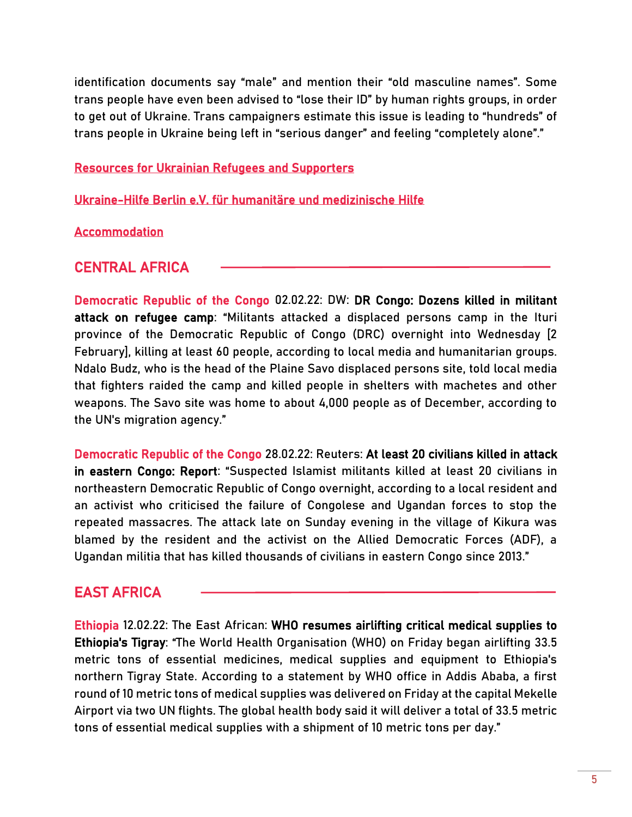identification documents say "male" and mention their "old masculine names". Some trans people have even been advised to "lose their ID" by human rights groups, in order to get out of Ukraine. Trans campaigners estimate this issue is leading to "hundreds" of trans people in Ukraine being left in "serious danger" and feeling "completely alone"."

[Resources for Ukrainian Refugees and Supporters](https://docs.google.com/document/d/1OlZIz-72A2xI2uUOFE07L5ObQGP4JDcXZ2vdIs2P9BQ/preview?pru=AAABf2PmVxg*0NVjR-hTIX93wwNdNI4gAA)

[Ukraine-Hilfe Berlin e.V. für humanitäre und medizinische Hilfe](https://www.ukraine-hilfe-berlin.de/about/)

[Accommodation](https://docs.google.com/spreadsheets/d/1qJivmISBO-_VPjFd2Rv0j8I9DkQj2UX5Jbh1EJe7tH8/edit#gid=751018521)

# CENTRAL AFRICA

Democratic Republic of the Congo 02.02.22: DW: [DR Congo: Dozens killed in militant](https://www.dw.com/en/dr-congo-dozens-killed-in-militant-attack-on-refugee-camp/a-60633461)  [attack on refugee camp](https://www.dw.com/en/dr-congo-dozens-killed-in-militant-attack-on-refugee-camp/a-60633461): "Militants attacked a displaced persons camp in the Ituri province of the Democratic Republic of Congo (DRC) overnight into Wednesday [2 February], killing at least 60 people, according to local media and humanitarian groups. Ndalo Budz, who is the head of the Plaine Savo displaced persons site, told local media that fighters raided the camp and killed people in shelters with machetes and other weapons. The Savo site was home to about 4,000 people as of December, according to the UN's migration agency."

Democratic Republic of the Congo 28.02.22: Reuters[:](https://www.reuters.com/world/africa/suspected-islamist-militants-kill-20-civilians-eastern-congo-2022-02-28/) [At least 20 civilians killed in attack](https://www.reuters.com/world/africa/suspected-islamist-militants-kill-20-civilians-eastern-congo-2022-02-28/)  [in eastern Congo: Report](https://www.reuters.com/world/africa/suspected-islamist-militants-kill-20-civilians-eastern-congo-2022-02-28/): "Suspected Islamist militants killed at least 20 civilians in northeastern Democratic Republic of Congo overnight, according to a local resident and an activist who criticised the failure of Congolese and Ugandan forces to stop the repeated massacres. The attack late on Sunday evening in the village of Kikura was blamed by the resident and the activist on the Allied Democratic Forces (ADF), a Ugandan militia that has killed thousands of civilians in eastern Congo since 2013."

# EAST AFRICA

Ethiopia 12.02.22: The East African[: WHO resumes airlifting critical medical supplies to](https://www.theeastafrican.co.ke/tea/rest-of-africa/who-airlifting-critical-medical-supplies-ethiopia-s-tigray-3714042)  [Ethiopia's Tigray](https://www.theeastafrican.co.ke/tea/rest-of-africa/who-airlifting-critical-medical-supplies-ethiopia-s-tigray-3714042): "The World Health Organisation (WHO) on Friday began airlifting 33.5 metric tons of essential medicines, medical supplies and equipment to Ethiopia's northern Tigray State. According to a statement by WHO office in Addis Ababa, a first round of 10 metric tons of medical supplies was delivered on Friday at the capital Mekelle Airport via two UN flights. The global health body said it will deliver a total of 33.5 metric tons of essential medical supplies with a shipment of 10 metric tons per day."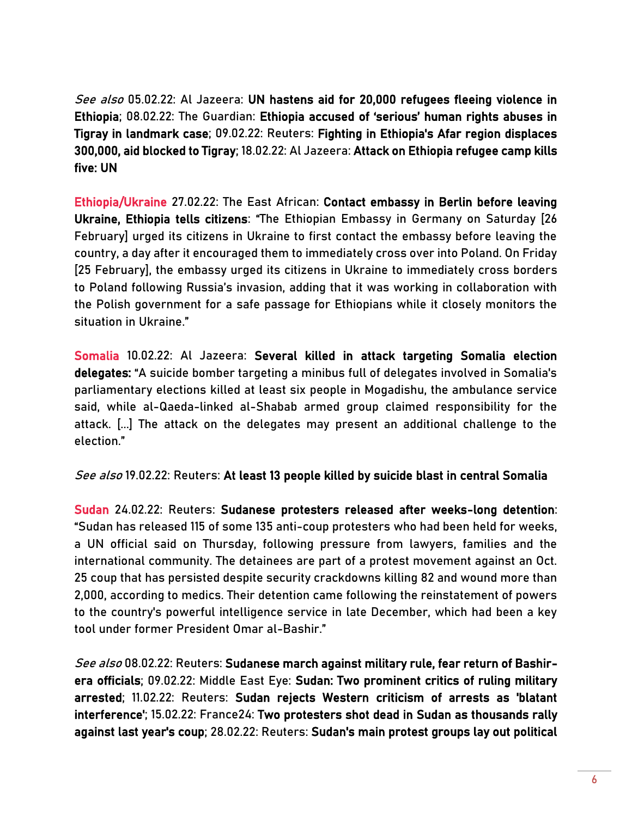See also 05.02.22: Al Jazeera: UN hastens aid for 20,000 refugees fleeing violence in [Ethiopia;](https://www.aljazeera.com/news/2022/2/5/un-hastens-aid-for-20000-refugees-fleeing-violence-in-ethiopia) 08.02.22: The Guardian: [Ethiopia accused of 'serious' human rights abuses in](https://www.theguardian.com/global-development/2022/feb/08/ethiopia-human-rights-abuses-possible-war-crimes-tigray)  [Tigray in landmark case;](https://www.theguardian.com/global-development/2022/feb/08/ethiopia-human-rights-abuses-possible-war-crimes-tigray) 09.02.22: Reuters[: Fighting in Ethiopia's Afar region displaces](https://www.reuters.com/world/africa/fighting-ethiopias-afar-region-displaces-300000-aid-blocked-tigray-2022-02-08/)  [300,000, aid blocked to Tigray;](https://www.reuters.com/world/africa/fighting-ethiopias-afar-region-displaces-300000-aid-blocked-tigray-2022-02-08/) 18.02.22: Al Jazeera[: Attack on Ethiopia refugee camp kills](https://www.aljazeera.com/news/2022/2/18/attack-on-ethiopia-refugee-camp-kills-five-un)  [five: UN](https://www.aljazeera.com/news/2022/2/18/attack-on-ethiopia-refugee-camp-kills-five-un) 

Ethiopia/Ukraine 27.02.22: The East African[: Contact embassy in Berlin before leaving](https://www.theeastafrican.co.ke/tea/rest-of-africa/ethiopians-in-ukraine-contact-embassy-in-berlin-3731164)  [Ukraine, Ethiopia tells citizens](https://www.theeastafrican.co.ke/tea/rest-of-africa/ethiopians-in-ukraine-contact-embassy-in-berlin-3731164): "The Ethiopian Embassy in Germany on Saturday [26 February] urged its citizens in Ukraine to first contact the embassy before leaving the country, a day after it encouraged them to immediately cross over into Poland. On Friday [25 February], the embassy urged its citizens in Ukraine to immediately cross borders to Poland following Russia's invasion, adding that it was working in collaboration with the Polish government for a safe passage for Ethiopians while it closely monitors the situation in Ukraine."

Somalia 10.02.22: Al Jazeera[: Several killed in attack targeting Somalia election](https://www.aljazeera.com/news/2022/2/10/car-bomb-targeting-somalia-election-delegates-kills-six)  [delegates:](https://www.aljazeera.com/news/2022/2/10/car-bomb-targeting-somalia-election-delegates-kills-six) "A suicide bomber targeting a minibus full of delegates involved in Somalia's parliamentary elections killed at least six people in Mogadishu, the ambulance service said, while al-Qaeda-linked al-Shabab armed group claimed responsibility for the attack. [...] The attack on the delegates may present an additional challenge to the election."

See also 19.02.22: Reuters: At least 13 people killed by suicide blast in central Somalia

Sudan 24.02.22: Reuters: [Sudanese protesters released after weeks-long detention:](https://www.reuters.com/world/africa/sudanese-protesters-released-after-weeks-long-detention-2022-02-24/) "Sudan has released 115 of some 135 anti-coup protesters who had been held for weeks, a UN official said on Thursday, following pressure from lawyers, families and the international community. The detainees are part of a protest movement against an Oct. 25 coup that has persisted despite security crackdowns killing 82 and wound more than 2,000, according to medics. Their detention came following the reinstatement of powers to the country's powerful intelligence service in late December, which had been a key tool under former President Omar al-Bashir."

See also 08.02.22: Reuters[: Sudanese march against military rule, fear return of Bashir](https://www.reuters.com/world/africa/sudanese-march-against-military-rule-fear-return-bashir-era-officials-2022-02-07/)[era officials;](https://www.reuters.com/world/africa/sudanese-march-against-military-rule-fear-return-bashir-era-officials-2022-02-07/) 09.02.22: Middle East Eye[: Sudan: Two prominent critics of ruling military](https://www.middleeasteye.net/news/police-arrests-two-sudanese-leading-critics-military)  [arrested;](https://www.middleeasteye.net/news/police-arrests-two-sudanese-leading-critics-military) 11.02.22: Reuters[: Sudan rejects Western criticism of arrests as 'blatant](https://www.reuters.com/world/africa/sudan-rejects-western-criticism-arrests-blatant-interference-2022-02-11/)  [interference';](https://www.reuters.com/world/africa/sudan-rejects-western-criticism-arrests-blatant-interference-2022-02-11/) 15.02.22: France24[: Two protesters shot dead in Sudan as thousands rally](https://www.france24.com/en/americas/20220215-two-protesters-shot-dead-as-thousands-protest-against-sudan-coup)  [against last year's coup;](https://www.france24.com/en/americas/20220215-two-protesters-shot-dead-as-thousands-protest-against-sudan-coup) 28.02.22: Reuters: [Sudan's main protest groups lay out political](https://www.reuters.com/world/middle-east/sudans-main-protest-groups-lay-out-political-vision-2022-02-27/)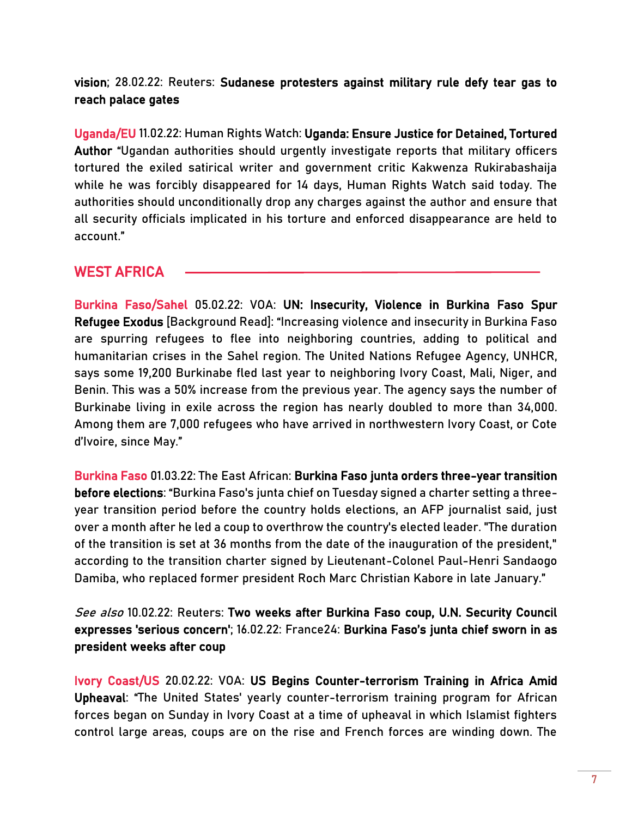[vision;](https://www.reuters.com/world/middle-east/sudans-main-protest-groups-lay-out-political-vision-2022-02-27/) 28.02.22: Reuters: [Sudanese protesters against military rule defy tear gas to](https://www.reuters.com/world/africa/sudanese-protesters-against-military-rule-defy-tear-gas-reach-palace-gates-2022-02-28/)  [reach palace gates](https://www.reuters.com/world/africa/sudanese-protesters-against-military-rule-defy-tear-gas-reach-palace-gates-2022-02-28/) 

Uganda/EU 11.02.22: Human Rights Watch[: Uganda: Ensure Justice for Detained, Tortured](https://www.hrw.org/news/2022/02/11/uganda-ensure-justice-detained-tortured-author)  [Author](https://www.hrw.org/news/2022/02/11/uganda-ensure-justice-detained-tortured-author) "Ugandan authorities should urgently investigate reports that military officers tortured the exiled satirical writer and government critic Kakwenza Rukirabashaija while he was forcibly disappeared for 14 days, Human Rights Watch said today. The authorities should unconditionally drop any charges against the author and ensure that all security officials implicated in his torture and enforced disappearance are held to account."

# WEST AFRICA

Burkina Faso/Sahel 05.02.22: VOA: [UN: Insecurity, Violence in Burkina Faso Spur](https://www.voanews.com/a/6427952.html)  [Refugee Exodus](https://www.voanews.com/a/6427952.html) [Background Read]: "Increasing violence and insecurity in Burkina Faso are spurring refugees to flee into neighboring countries, adding to political and humanitarian crises in the Sahel region. The United Nations Refugee Agency, UNHCR, says some 19,200 Burkinabe fled last year to neighboring Ivory Coast, Mali, Niger, and Benin. This was a 50% increase from the previous year. The agency says the number of Burkinabe living in exile across the region has nearly doubled to more than 34,000. Among them are 7,000 refugees who have arrived in northwestern Ivory Coast, or Cote d'Ivoire, since May."

Burkina Faso 01.03.22: The East African[: Burkina Faso junta orders three-year transition](https://www.theeastafrican.co.ke/tea/rest-of-africa/burkina-faso-junta-three-year-transition-before-elections-3733264)  [before elections](https://www.theeastafrican.co.ke/tea/rest-of-africa/burkina-faso-junta-three-year-transition-before-elections-3733264): "Burkina Faso's junta chief on Tuesday signed a charter setting a threeyear transition period before the country holds elections, an AFP journalist said, just over a month after he led a coup to overthrow the country's elected leader. "The duration of the transition is set at 36 months from the date of the inauguration of the president," according to the transition charter signed by Lieutenant-Colonel Paul-Henri Sandaogo Damiba, who replaced former president Roch Marc Christian Kabore in late January."

See also 10.02.22: Reuters: [Two weeks after Burkina Faso coup, U.N. Security Council](https://www.reuters.com/world/africa/two-weeks-after-burkina-faso-coup-un-security-council-expresses-serious-concern-2022-02-10/)  [expresses 'serious concern';](https://www.reuters.com/world/africa/two-weeks-after-burkina-faso-coup-un-security-council-expresses-serious-concern-2022-02-10/) 16.02.22: France24: Bur[kina Faso's junta chief sworn in as](https://www.france24.com/en/africa/20220216-burkina-faso-s-junta-chief-sworn-in-as-president-weeks-after-coup)  [president weeks after coup](https://www.france24.com/en/africa/20220216-burkina-faso-s-junta-chief-sworn-in-as-president-weeks-after-coup)

Ivory Coast/US 20.02.22: VOA[: US Begins Counter-terrorism Training in Africa Amid](https://www.voanews.com/a/6451365.html)  [Upheaval](https://www.voanews.com/a/6451365.html): "The United States' yearly counter-terrorism training program for African forces began on Sunday in Ivory Coast at a time of upheaval in which Islamist fighters control large areas, coups are on the rise and French forces are winding down. The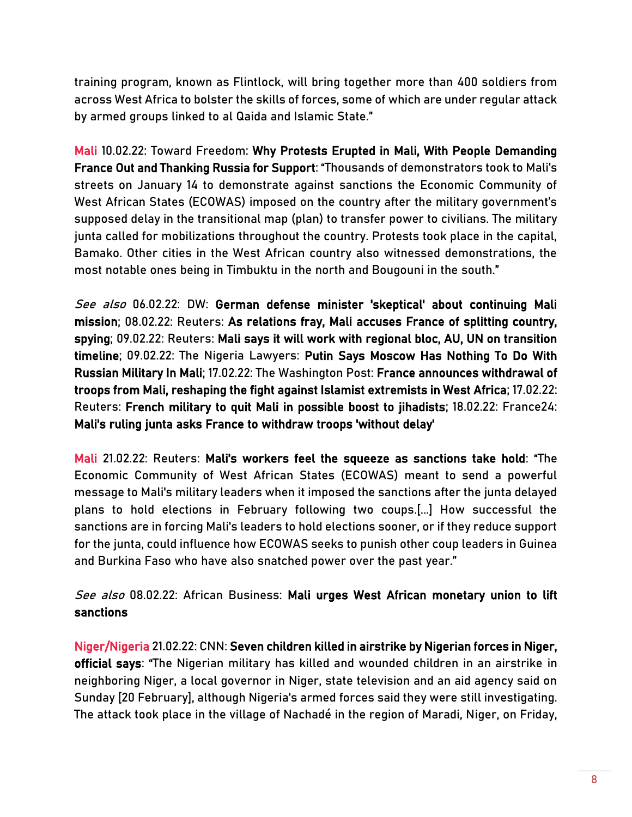training program, known as Flintlock, will bring together more than 400 soldiers from across West Africa to bolster the skills of forces, some of which are under regular attack by armed groups linked to al Qaida and Islamic State."

Mali 10.02.22: Toward Freedom: [Why Protests Erupted in Mali, With People Demanding](https://towardfreedom.org/story/archives/africa-archives/why-protests-erupted-in-mali-with-people-demanding-france-out-and-thanking-russia-for-support/)  [France Out and Thanking Russia for Support](https://towardfreedom.org/story/archives/africa-archives/why-protests-erupted-in-mali-with-people-demanding-france-out-and-thanking-russia-for-support/): "Thousands of demonstrators took to Mali's streets on January 14 to demonstrate against sanctions the Economic Community of West African States (ECOWAS) imposed on the country after the military government's supposed delay in the transitional map (plan) to transfer power to civilians. The military junta called for mobilizations throughout the country. Protests took place in the capital, Bamako. Other cities in the West African country also witnessed demonstrations, the most notable ones being in Timbuktu in the north and Bougouni in the south."

See also 06.02.22: DW: German defense minister 'skeptical' about continuing Mali [mission;](https://www.dw.com/en/german-defense-minister-skeptical-about-continuing-mali-mission/a-60680804) 08.02.22: Reuters[: As relations fray, Mali accuses France of splitting country,](https://www.reuters.com/world/africa/relations-fray-mali-accuses-france-splitting-country-spying-2022-02-08/)  [spying;](https://www.reuters.com/world/africa/relations-fray-mali-accuses-france-splitting-country-spying-2022-02-08/) 09.02.22: Reuters[: Mali says it will work with regional bloc, AU, UN on transition](https://www.reuters.com/world/africa/mali-says-it-will-work-with-regional-bloc-au-un-transition-timeline-2022-02-09/)  [timeline;](https://www.reuters.com/world/africa/mali-says-it-will-work-with-regional-bloc-au-un-transition-timeline-2022-02-09/) 09.02.22: The Nigeria Lawyers[: Putin Says Moscow Has Nothing To Do With](https://thenigerialawyer.com/putin-says-moscow-has-nothing-to-do-with-russian-military-in-mali/)  [Russian Military In Mali;](https://thenigerialawyer.com/putin-says-moscow-has-nothing-to-do-with-russian-military-in-mali/) 17.02.22: The Washington Post[: France announces withdrawal of](https://www.washingtonpost.com/world/2022/02/17/mali-france-troops-withdrawal-macron/)  [troops from Mali, reshaping the fight against Islamist extremists in West Africa;](https://www.washingtonpost.com/world/2022/02/17/mali-france-troops-withdrawal-macron/) 17.02.22: Reuters[: French military to quit Mali in possible boost to jihadists;](https://www.reuters.com/world/africa/france-partners-begin-mali-military-withdrawal-statement-2022-02-17/) 18.02.22: France24[:](https://www.reuters.com/world/africa/mali-says-france-should-withdraw-troops-its-territory-without-delay-2022-02-18/)  [Mali's ruling junta asks France to withdraw troops 'without delay'](https://www.france24.com/en/africa/20220218-mali-asks-france-to-withdraw-troops-without-delay) 

Mali 21.02.22: Reuters: [Mali's workers feel the squeeze as sanctions take hold](https://www.reuters.com/world/africa/malis-workers-feel-squeeze-sanctions-take-hold-2022-02-21/): "The Economic Community of West African States (ECOWAS) meant to send a powerful message to Mali's military leaders when it imposed the sanctions after the junta delayed plans to hold elections in February following two coups.[...] How successful the sanctions are in forcing Mali's leaders to hold elections sooner, or if they reduce support for the junta, could influence how ECOWAS seeks to punish other coup leaders in Guinea and Burkina Faso who have also snatched power over the past year."

See also 08.02.22: African Business: Mali urges West African monetary union to lift [sanctions](https://african.business/2022/02/trade-investment/mali-urges-west-african-monetary-union-to-lift-sanctions/)

Niger/Nigeria 21.02.22: CNN[: Seven children killed in airstrike by Nigerian forces in Niger,](https://edition.cnn.com/2022/02/21/africa/airstrike-kills-children-niger-intl/index.html)  [official says](https://edition.cnn.com/2022/02/21/africa/airstrike-kills-children-niger-intl/index.html): "The Nigerian military has killed and wounded children in an airstrike in neighboring Niger, a local governor in Niger, state television and an aid agency said on Sunday [20 February], although Nigeria's armed forces said they were still investigating. The attack took place in the village of Nachadé in the region of Maradi, Niger, on Friday,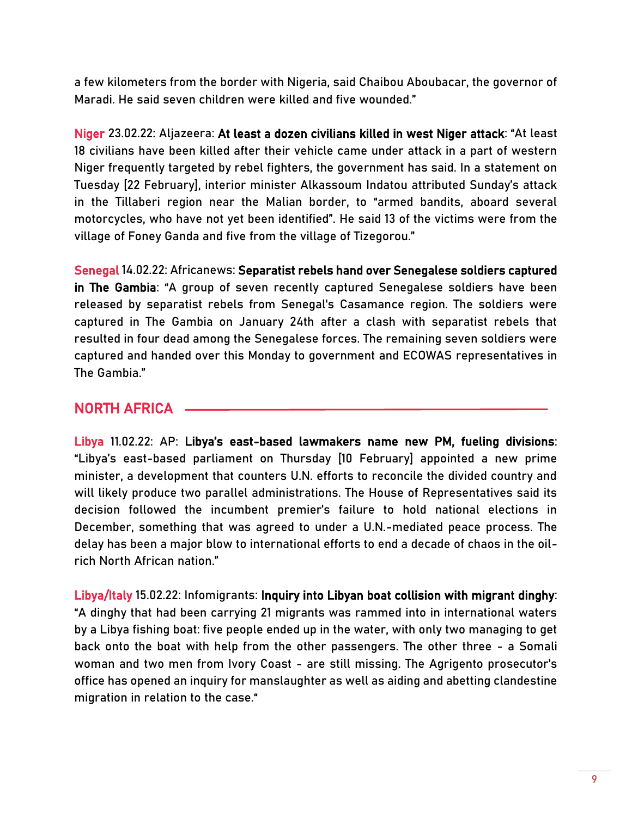a few kilometers from the border with Nigeria, said Chaibou Aboubacar, the governor of Maradi. He said seven children were killed and five wounded."

Niger 23.02.22: Aljazeera[: At least a dozen civilians killed in west Niger attack](https://www.aljazeera.com/news/2022/2/23/at-least-18-civilians-killed-in-west-niger-attack): "At least 18 civilians have been killed after their vehicle came under attack in a part of western Niger frequently targeted by rebel fighters, the government has said. In a statement on Tuesday [22 February], interior minister Alkassoum Indatou attributed Sunday's attack in the Tillaberi region near the Malian border, to "armed bandits, aboard several motorcycles, who have not yet been identified". He said 13 of the victims were from the village of Foney Ganda and five from the village of Tizegorou."

Senegal 14.02.22: Africanews[: Separatist rebels hand over Senegalese soldiers captured](https://www.africanews.com/2022/02/14/separatist-rebels-hand-over-senegalese-soldiers-captured-in-the-gambia/#:~:text=Senegal,dead%20among%20the%20Senegalese%20forces.)  [in The Gambia](https://www.africanews.com/2022/02/14/separatist-rebels-hand-over-senegalese-soldiers-captured-in-the-gambia/#:~:text=Senegal,dead%20among%20the%20Senegalese%20forces.): "A group of seven recently captured Senegalese soldiers have been released by separatist rebels from Senegal's Casamance region. The soldiers were captured in The Gambia on January 24th after a clash with separatist rebels that resulted in four dead among the Senegalese forces. The remaining seven soldiers were captured and handed over this Monday to government and ECOWAS representatives in The Gambia."

# NORTH AFRICA

Libya 11.02.22: AP: Libya's east[-based lawmakers name new PM, fueling divisions:](https://apnews.com/article/middle-east-libya-africa-peace-process-b9525f1a7309ce0b5c2634a6f7d4d0f4) "Libya's east-based parliament on Thursday [10 February] appointed a new prime minister, a development that counters U.N. efforts to reconcile the divided country and will likely produce two parallel administrations. The House of Representatives said its decision followed the incumbent premier's failure to hold national elections in December, something that was agreed to under a U.N.-mediated peace process. The delay has been a major blow to international efforts to end a decade of chaos in the oilrich North African nation."

Libya/Italy 15.02.22: Infomigrants[: Inquiry into Libyan boat collision with migrant dinghy:](https://www.infomigrants.net/en/post/38545/inquiry-into-libyan-boat-collision-with-migrant-dinghy) "A dinghy that had been carrying 21 migrants was rammed into in international waters by a Libya fishing boat: five people ended up in the water, with only two managing to get back onto the boat with help from the other passengers. The other three - a Somali woman and two men from Ivory Coast - are still missing. The Agrigento prosecutor's office has opened an inquiry for manslaughter as well as aiding and abetting clandestine migration in relation to the case."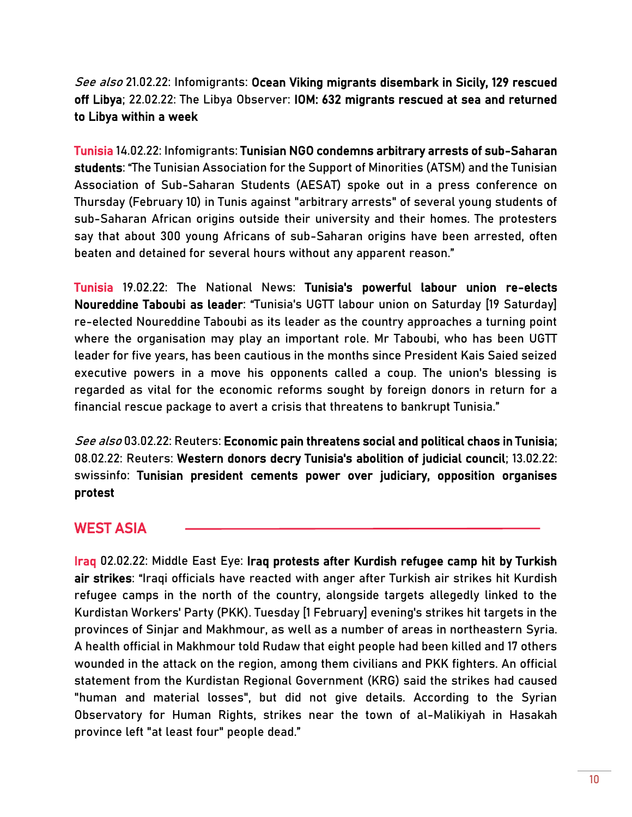See also 21.02.22: Infomigrants: Ocean Viking migrants disembark in Sicily, 129 rescued [off Libya;](https://www.infomigrants.net/en/post/38678/ocean-viking-migrants-disembark-in-sicily-129-rescued-off-libya) 22.02.22: The Libya Observer[: IOM: 632 migrants rescued at sea and returned](https://www.libyaobserver.ly/inbrief/iom-632-migrants-rescued-sea-and-returned-libya-within-week)  [to Libya within a week](https://www.libyaobserver.ly/inbrief/iom-632-migrants-rescued-sea-and-returned-libya-within-week) 

Tunisia 14.02.22: Infomigrants: [Tunisian NGO condemns arbitrary arrests of sub-Saharan](https://www.infomigrants.net/en/post/38515/tunisian-ngo-condemns-arbitrary-arrests-of-subsaharan-students)  [students](https://www.infomigrants.net/en/post/38515/tunisian-ngo-condemns-arbitrary-arrests-of-subsaharan-students): "The Tunisian Association for the Support of Minorities (ATSM) and the Tunisian Association of Sub-Saharan Students (AESAT) spoke out in a press conference on Thursday (February 10) in Tunis against "arbitrary arrests" of several young students of sub-Saharan African origins outside their university and their homes. The protesters say that about 300 young Africans of sub-Saharan origins have been arrested, often beaten and detained for several hours without any apparent reason."

Tunisia 19.02.22: The National News[: Tunisia's powerful labour union re-elects](https://www.thenationalnews.com/mena/tunisia/2022/02/19/tunisias-powerful-labour-union-re-elects-noureddine-taboubi-as-leader/)  [Noureddine Taboubi as leader](https://www.thenationalnews.com/mena/tunisia/2022/02/19/tunisias-powerful-labour-union-re-elects-noureddine-taboubi-as-leader/): "Tunisia's UGTT labour union on Saturday [19 Saturday] re-elected Noureddine Taboubi as its leader as the country approaches a turning point where the organisation may play an important role. Mr Taboubi, who has been UGTT leader for five years, has been cautious in the months since President Kais Saied seized executive powers in a move his opponents called a coup. The union's blessing is regarded as vital for the economic reforms sought by foreign donors in return for a financial rescue package to avert a crisis that threatens to bankrupt Tunisia."

See also 03.02.22: Reuters: [Economic pain threatens social and political chaos in Tunisia;](https://www.reuters.com/world/africa/economic-pain-threatens-social-political-chaos-tunisia-2022-02-02/) 08.02.22: Reuters[: Western donors decry Tunisia's abolition of judicial council;](https://www.reuters.com/world/africa/g7-countries-voice-deep-concern-tunisian-president-dissolving-judicial-council-2022-02-08/) 13.02.22: swissinf[o: Tunisian president cements power over judiciary, opposition organises](https://www.swissinfo.ch/eng/tunisian-president-cements-power-over-judiciary--opposition-organises-protest/47343618)  [protest](https://www.swissinfo.ch/eng/tunisian-president-cements-power-over-judiciary--opposition-organises-protest/47343618) 

# WEST ASIA

Iraq 02.02.22: Middle East Eye: [Iraq protests after Kurdish refugee camp hit by Turkish](https://www.middleeasteye.net/news/iraq-protests-turkey-air-strikes-hit-kurdish-refugee-camps)  [air strikes](https://www.middleeasteye.net/news/iraq-protests-turkey-air-strikes-hit-kurdish-refugee-camps): "Iraqi officials have reacted with anger after Turkish air strikes hit Kurdish refugee camps in the north of the country, alongside targets allegedly linked to the Kurdistan Workers' Party (PKK). Tuesday [1 February] evening's strikes hit targets in the provinces of Sinjar and Makhmour, as well as a number of areas in northeastern Syria. A health official in Makhmour told Rudaw that eight people had been killed and 17 others wounded in the attack on the region, among them civilians and PKK fighters. An official statement from the Kurdistan Regional Government (KRG) said the strikes had caused "human and material losses", but did not give details. According to the Syrian Observatory for Human Rights, strikes near the town of al-Malikiyah in Hasakah province left "at least four" people dead."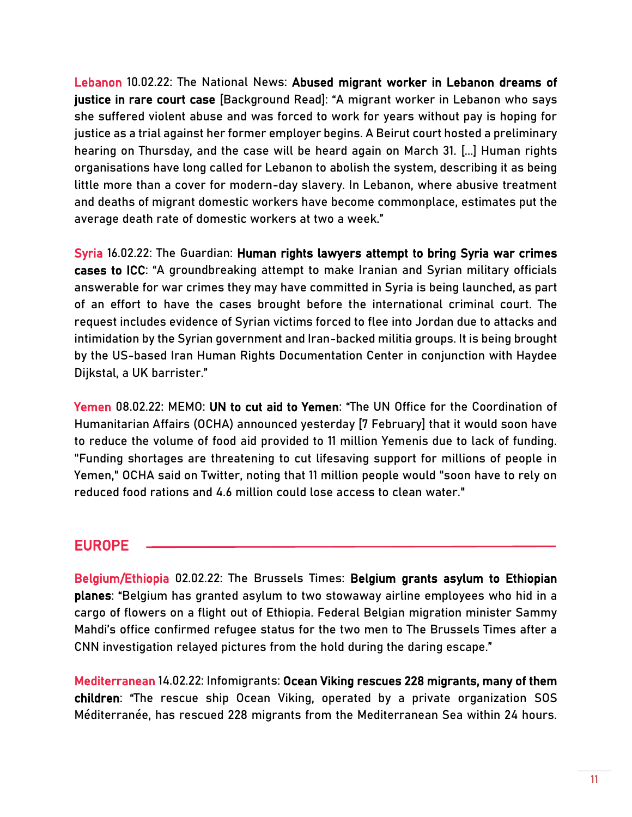Lebanon 10.02.22: The National News: [Abused migrant worker in Lebanon dreams of](https://www.thenationalnews.com/mena/lebanon/2022/02/10/abused-migrant-worker-in-lebanon-dreams-of-justice-in-rare-court-case/)  [justice in rare court case](https://www.thenationalnews.com/mena/lebanon/2022/02/10/abused-migrant-worker-in-lebanon-dreams-of-justice-in-rare-court-case/) [Background Read]: "A migrant worker in Lebanon who says she suffered violent abuse and was forced to work for years without pay is hoping for justice as a trial against her former employer begins. A Beirut court hosted a preliminary hearing on Thursday, and the case will be heard again on March 31. [...] Human rights organisations have long called for Lebanon to abolish the system, describing it as being little more than a cover for modern-day slavery. In Lebanon, where abusive treatment and deaths of migrant domestic workers have become commonplace, estimates put the average death rate of domestic workers at two a week."

Syria 16.02.22: The Guardian[: Human rights lawyers attempt to bring Syria war crimes](https://www.theguardian.com/world/2022/feb/16/human-rights-lawyers-attempt-to-bring-syria-war-crimes-cases-to-icc)  [cases to ICC](https://www.theguardian.com/world/2022/feb/16/human-rights-lawyers-attempt-to-bring-syria-war-crimes-cases-to-icc): "A groundbreaking attempt to make Iranian and Syrian military officials answerable for war crimes they may have committed in Syria is being launched, as part of an effort to have the cases brought before the international criminal court. The request includes evidence of Syrian victims forced to flee into Jordan due to attacks and intimidation by the Syrian government and Iran-backed militia groups. It is being brought by the US-based Iran Human Rights Documentation Center in conjunction with Haydee Dijkstal, a UK barrister."

Yemen 08.02.22: MEMO: [UN to cut aid to Yemen](https://www.middleeastmonitor.com/20220208-un-to-cut-aid-to-yemen/): "The UN Office for the Coordination of Humanitarian Affairs (OCHA) announced yesterday [7 February] that it would soon have to reduce the volume of food aid provided to 11 million Yemenis due to lack of funding. "Funding shortages are threatening to cut lifesaving support for millions of people in Yemen," OCHA said on Twitter, noting that 11 million people would "soon have to rely on reduced food rations and 4.6 million could lose access to clean water."

#### EUROPE

Belgium/Ethiopia 02.02.22: The Brussels Times: [Belgium grants asylum to Ethiopian](https://www.brusselstimes.com/204244/belgium-considers-asylum-for-ethiopian-plane-stowaways)  [planes](https://www.brusselstimes.com/204244/belgium-considers-asylum-for-ethiopian-plane-stowaways): "Belgium has granted asylum to two stowaway airline employees who hid in a cargo of flowers on a flight out of Ethiopia. Federal Belgian migration minister Sammy Mahdi's office confirmed refugee status for the two men to The Brussels Times after a CNN investigation relayed pictures from the hold during the daring escape."

Mediterranean 14.02.22: Infomigrants: [Ocean Viking rescues 228 migrants, many of them](https://www.infomigrants.net/en/post/38517/ocean-viking-rescues-228-migrants-many-of-them-children)  [children](https://www.infomigrants.net/en/post/38517/ocean-viking-rescues-228-migrants-many-of-them-children): "The rescue ship Ocean Viking, operated by a private organization SOS Méditerranée, has rescued 228 migrants from the Mediterranean Sea within 24 hours.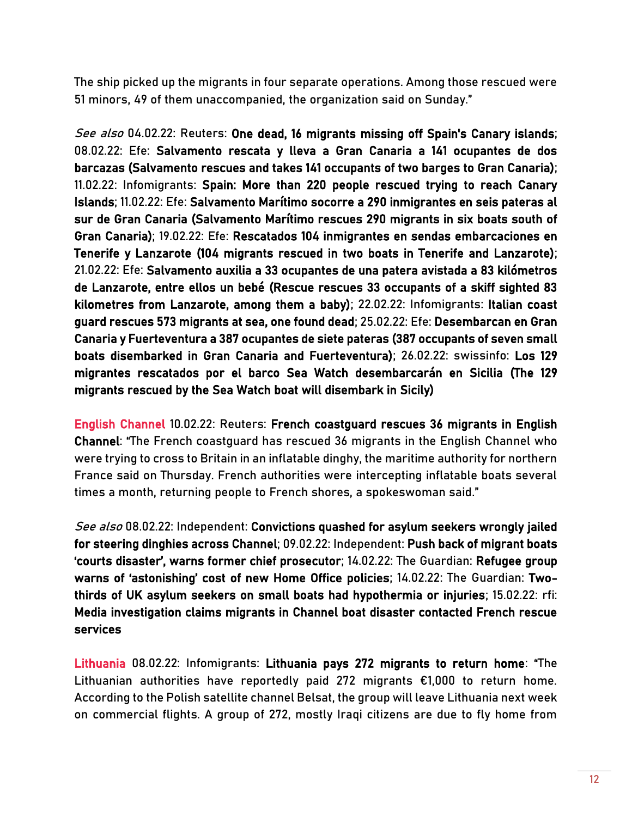The ship picked up the migrants in four separate operations. Among those rescued were 51 minors, 49 of them unaccompanied, the organization said on Sunday."

See also 04.02.22: Reuters[: One dead, 16 migrants missing off Spain's Canary islands;](https://www.reuters.com/world/europe/one-dead-16-migrants-missing-off-spains-canary-islands-2022-02-03/) 08.02.22: Efe: [Salvamento rescata y lleva a Gran Canaria a 141 ocupantes de dos](https://www.efe.com/efe/canarias/sociedad/salvamento-rescata-y-lleva-a-gran-canaria-141-ocupantes-de-dos-barcazas/50001312-4735044)  [barcazas](https://www.efe.com/efe/canarias/sociedad/salvamento-rescata-y-lleva-a-gran-canaria-141-ocupantes-de-dos-barcazas/50001312-4735044) (Salvamento rescues and takes 141 occupants of two barges to Gran Canaria); 11.02.22: Infomigrants: [Spain: More than 220 people rescued trying to reach Canary](https://www.infomigrants.net/en/post/38495/spain-more-than-220-people-rescued-trying-to-reach-canary-islands)  [Islands;](https://www.infomigrants.net/en/post/38495/spain-more-than-220-people-rescued-trying-to-reach-canary-islands) 11.02.22: Efe: [Salvamento Marítimo socorre a 290 inmigrantes en seis pateras al](https://www.efe.com/efe/canarias/sociedad/salvamento-maritimo-socorre-a-290-inmigrantes-en-seis-pateras-al-sur-de-gran-canaria/50001312-4738401)  [sur de Gran Canaria](https://www.efe.com/efe/canarias/sociedad/salvamento-maritimo-socorre-a-290-inmigrantes-en-seis-pateras-al-sur-de-gran-canaria/50001312-4738401) (Salvamento Marítimo rescues 290 migrants in six boats south of Gran Canaria); 19.02.22: Efe: [Rescatados 104 inmigrantes en sendas embarcaciones en](https://www.efe.com/efe/canarias/sociedad/rescatados-104-inmigrantes-en-sendas-embarcaciones-tenerife-y-lanzarote/50001312-4743781)  [Tenerife y Lanzarote](https://www.efe.com/efe/canarias/sociedad/rescatados-104-inmigrantes-en-sendas-embarcaciones-tenerife-y-lanzarote/50001312-4743781) (104 migrants rescued in two boats in Tenerife and Lanzarote); 21.02.22: Efe: [Salvamento auxilia a 33 ocupantes de una patera avistada a 83 kilómetros](https://www.efe.com/efe/canarias/sociedad/salvamento-auxilia-a-33-ocupantes-de-una-patera-avistada-83-kilometros-lanzarote-entre-ellos-un-bebe/50001312-4744582)  [de Lanzarote, entre ellos un bebé](https://www.efe.com/efe/canarias/sociedad/salvamento-auxilia-a-33-ocupantes-de-una-patera-avistada-83-kilometros-lanzarote-entre-ellos-un-bebe/50001312-4744582) (Rescue rescues 33 occupants of a skiff sighted 83 kilometres from Lanzarote, among them a baby); 22.02.22: Infomigrants[: Italian coast](https://www.infomigrants.net/en/post/38715/italian-coast-guard-rescues-573-migrants-at-sea-one-found-dead)  [guard rescues 573 migrants at sea, one found dead;](https://www.infomigrants.net/en/post/38715/italian-coast-guard-rescues-573-migrants-at-sea-one-found-dead) 25.02.22: Efe: [Desembarcan en Gran](https://www.efe.com/efe/canarias/sociedad/desembarcan-en-gran-canaria-y-fuerteventura-a-387-ocupantes-de-siete-pateras/50001312-4747991)  [Canaria y Fuerteventura a 387 ocupantes de siete pateras](https://www.efe.com/efe/canarias/sociedad/desembarcan-en-gran-canaria-y-fuerteventura-a-387-ocupantes-de-siete-pateras/50001312-4747991) (387 occupants of seven small boats disembarked in Gran Canaria and Fuerteventura); 26.02.22: swissinfo[: Los 129](https://www.swissinfo.ch/spa/migraci%C3%B3n-mediterr%C3%A1neo_los-129-migrantes-rescatados-por-el-barco-sea-watch-desembarcar%C3%A1n-en-sicilia/47383570)  [migrantes rescatados por el barco Sea Watch desembarcarán en Sicilia](https://www.swissinfo.ch/spa/migraci%C3%B3n-mediterr%C3%A1neo_los-129-migrantes-rescatados-por-el-barco-sea-watch-desembarcar%C3%A1n-en-sicilia/47383570) (The 129 migrants rescued by the Sea Watch boat will disembark in Sicily)

English Channel 10.02.22: Reuters: [French coastguard rescues 36 migrants in English](https://www.reuters.com/world/europe/french-coast-guard-searching-36-people-english-channel-2022-02-10/)  [Channel](https://www.reuters.com/world/europe/french-coast-guard-searching-36-people-english-channel-2022-02-10/): "The French coastguard has rescued 36 migrants in the English Channel who were trying to cross to Britain in an inflatable dinghy, the maritime authority for northern France said on Thursday. French authorities were intercepting inflatable boats several times a month, returning people to French shores, a spokeswoman said."

See also 08.02.22: Independent: Convictions quashed for asylum seekers wrongly jailed [for steering dinghies across Channel;](https://www.independent.co.uk/news/uk/home-news/channel-crossing-court-appeal-jail-b2010191.html) 09.02.22: Independent: [Push back of migrant boats](https://www.independent.co.uk/news/uk/home-news/push-back-migrant-boats-disaster-b2011003.html)  ['courts disaster', warns former chief prosecutor](https://www.independent.co.uk/news/uk/home-news/push-back-migrant-boats-disaster-b2011003.html); 14.02.22: The Guardian: [Refugee group](https://www.theguardian.com/uk-news/2022/feb/14/refugee-group-warns-of-astonishing-cost-of-new-home-office-policies)  [warns of 'astonishing' cost of new Home Office policies](https://www.theguardian.com/uk-news/2022/feb/14/refugee-group-warns-of-astonishing-cost-of-new-home-office-policies); 14.02.22: The Guardian: [Two](https://www.theguardian.com/uk-news/2022/feb/14/two-thirds-of-uk-asylum-seekers-on-small-boats-had-hypothermia-or-injuries)[thirds of UK asylum seekers on small boats had hypothermia or injuries;](https://www.theguardian.com/uk-news/2022/feb/14/two-thirds-of-uk-asylum-seekers-on-small-boats-had-hypothermia-or-injuries) 15.02.22: rfi[:](https://www.rfi.fr/en/france/20220215-media-investigation-claims-migrants-in-channel-boat-disaster-contacted-french-rescue-services)  [Media investigation claims migrants in Channel boat disaster contacted French rescue](https://www.rfi.fr/en/france/20220215-media-investigation-claims-migrants-in-channel-boat-disaster-contacted-french-rescue-services)  [services](https://www.rfi.fr/en/france/20220215-media-investigation-claims-migrants-in-channel-boat-disaster-contacted-french-rescue-services)

Lithuania 08.02.22: Infomigrants: [Lithuania pays 272 migrants to return home:](https://www.infomigrants.net/en/post/38403/lithuania-pays-272-migrants-to-return-home) "The Lithuanian authorities have reportedly paid 272 migrants €1,000 to return home. According to the Polish satellite channel Belsat, the group will leave Lithuania next week on commercial flights. A group of 272, mostly Iraqi citizens are due to fly home from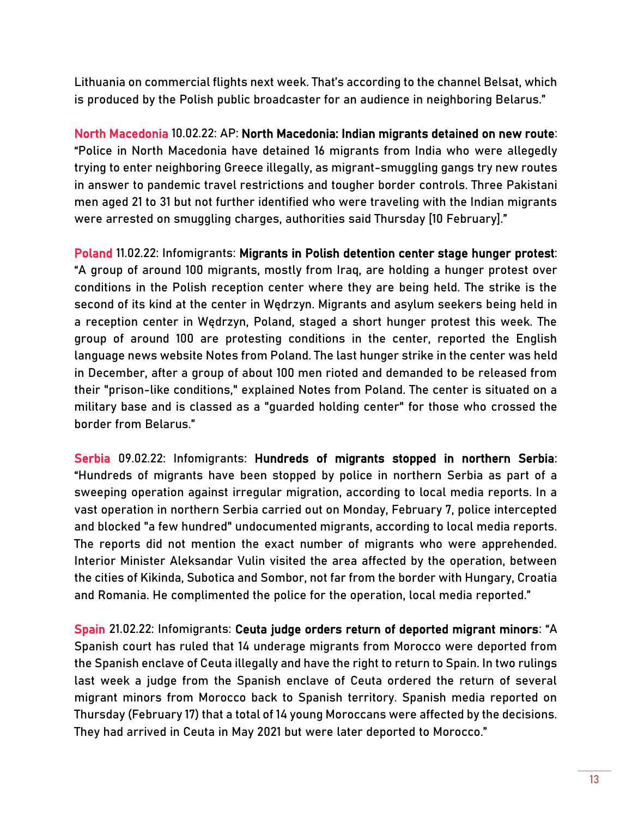Lithuania on commercial flights next week. That's according to the channel Belsat, which is produced by the Polish public broadcaster for an audience in neighboring Belarus."

North Macedonia 10.02.22: AP: [North Macedonia: Indian migrants detained on new route:](https://apnews.com/article/europe-greece-smuggling-migration-arrests-1428cd3b6cfdb829e0eb39b785ddd151) "Police in North Macedonia have detained 16 migrants from India who were allegedly trying to enter neighboring Greece illegally, as migrant-smuggling gangs try new routes in answer to pandemic travel restrictions and tougher border controls. Three Pakistani men aged 21 to 31 but not further identified who were traveling with the Indian migrants were arrested on smuggling charges, authorities said Thursday [10 February]."

Poland 11.02.22: Infomigrants[:](https://www.infomigrants.net/en/post/38499/migrants-in-polish-detention-center-stage-hunger-protest) [Migrants in Polish detention center stage hunger protest:](https://www.infomigrants.net/en/post/38499/migrants-in-polish-detention-center-stage-hunger-protest) "A group of around 100 migrants, mostly from Iraq, are holding a hunger protest over conditions in the Polish reception center where they are being held. The strike is the second of its kind at the center in Wędrzyn. Migrants and asylum seekers being held in a reception center in Wędrzyn, Poland, staged a short hunger protest this week. The group of around 100 are protesting conditions in the center, reported the English language news website Notes from Poland. The last hunger strike in the center was held in December, after a group of about 100 men rioted and demanded to be released from their "prison-like conditions," explained Notes from Poland. The center is situated on a military base and is classed as a "guarded holding center" for those who crossed the border from Belarus."

Serbia 09.02.22: Infomigrants: [Hundreds of migrants stopped in northern Serbia:](https://www.infomigrants.net/en/post/38420/hundreds-of-migrants-stopped-in-northern-serbia) "Hundreds of migrants have been stopped by police in northern Serbia as part of a sweeping operation against irregular migration, according to local media reports. In a vast operation in northern Serbia carried out on Monday, February 7, police intercepted and blocked "a few hundred" undocumented migrants, according to local media reports. The reports did not mention the exact number of migrants who were apprehended. Interior Minister Aleksandar Vulin visited the area affected by the operation, between the cities of Kikinda, Subotica and Sombor, not far from the border with Hungary, Croatia and Romania. He complimented the police for the operation, local media reported."

Spain 21.02.22: Infomigrants[: Ceuta judge orders return of deported migrant minors](https://www.infomigrants.net/en/post/38666/ceuta-judge-orders-return-of-deported-migrant-minors): "A Spanish court has ruled that 14 underage migrants from Morocco were deported from the Spanish enclave of Ceuta illegally and have the right to return to Spain. In two rulings last week a judge from the Spanish enclave of Ceuta ordered the return of several migrant minors from Morocco back to Spanish territory. Spanish media reported on Thursday (February 17) that a total of 14 young Moroccans were affected by the decisions. They had arrived in Ceuta in May 2021 but were later deported to Morocco."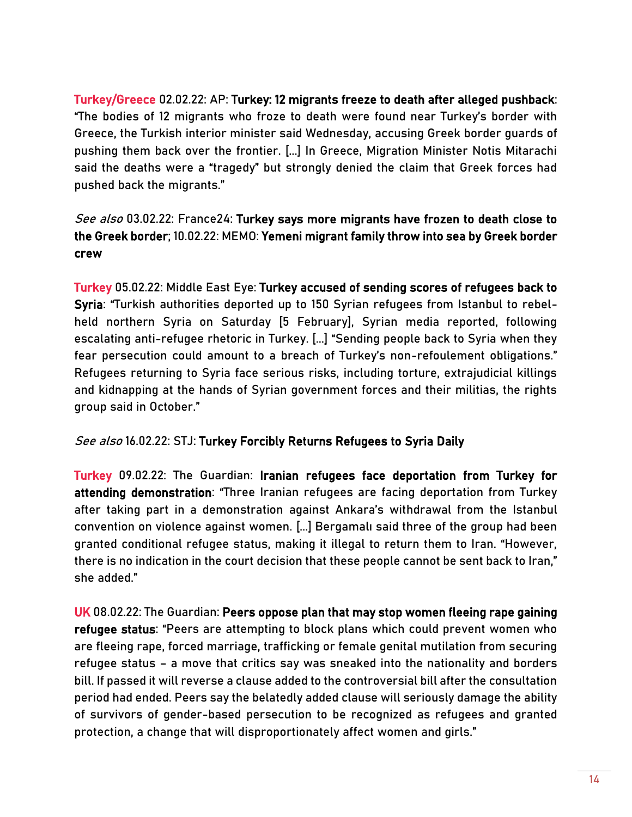Turkey/Greece 02.02.22: AP: [Turkey: 12 migrants freeze to death after alleged pushback:](https://apnews.com/article/europe-middle-east-greece-turkey-migration-3c0ef4f6b3c5cb86a83033fee508b82a) "The bodies of 12 migrants who froze to death were found near Turkey's border with Greece, the Turkish interior minister said Wednesday, accusing Greek border guards of pushing them back over the frontier. [...] In Greece, Migration Minister Notis Mitarachi said the deaths were a "tragedy" but strongly denied the claim that Greek forces had pushed back the migrants."

# See also 03.02.22: France24: Turkey says more migrants have frozen to death close to [the Greek border;](https://www.france24.com/en/europe/20220203-turkey-says-more-migrants-have-frozen-to-death-close-to-the-greek-border) 10.02.22: MEMO[: Yemeni migrant family throw into sea by Greek border](https://www.middleeastmonitor.com/20220210-yemeni-migrant-family-throw-into-sea-by-greek-border-crew/)  [crew](https://www.middleeastmonitor.com/20220210-yemeni-migrant-family-throw-into-sea-by-greek-border-crew/)

Turkey 05.02.22: Middle East Eye: [Turkey accused of sending scores of refugees back to](https://www.middleeasteye.net/news/turkey-syria-refugees-deported-scores)  [Syria](https://www.middleeasteye.net/news/turkey-syria-refugees-deported-scores): "Turkish authorities deported up to 150 Syrian refugees from Istanbul to rebelheld northern Syria on Saturday [5 February], Syrian media reported, following escalating anti-refugee rhetoric in Turkey. [...] "Sending people back to Syria when they fear persecution could amount to a breach of Turkey's non-refoulement obligations." Refugees returning to Syria face serious risks, including torture, extrajudicial killings and kidnapping at the hands of Syrian government forces and their militias, the rights group said in October."

#### See also 16.02.22: STJ[: Turkey Forcibly Returns Refugees to Syria Daily](https://stj-sy.org/en/turkey-forcibly-returns-refugees-to-syria-daily/)

Turkey 09.02.22: The Guardian: [Iranian refugees face deportation from Turkey for](https://www.theguardian.com/global-development/2022/feb/09/iranian-refugees-face-deportation-from-turkey-for-attending-demonstration)  [attending demonstration](https://www.theguardian.com/global-development/2022/feb/09/iranian-refugees-face-deportation-from-turkey-for-attending-demonstration): "Three Iranian refugees are facing deportation from Turkey after taking part in a demonstration against Ankara's withdrawal from the Istanbul convention on violence against women. [...] Bergamalı said three of the group had been granted conditional refugee status, making it illegal to return them to Iran. "However, there is no indication in the court decision that these people cannot be sent back to Iran," she added."

UK 08.02.22: The Guardian: Peers oppose plan that may stop women fleeing rape gaining [refugee status](https://www.theguardian.com/uk-news/2022/feb/08/peers-oppose-plan-that-may-stop-women-fleeing-gaining-refugee-status): "Peers are attempting to block plans which could prevent women who are fleeing rape, forced marriage, trafficking or female genital mutilation from securing refugee status – a move that critics say was sneaked into the nationality and borders bill. If passed it will reverse a clause added to the controversial bill after the consultation period had ended. Peers say the belatedly added clause will seriously damage the ability of survivors of gender-based persecution to be recognized as refugees and granted protection, a change that will disproportionately affect women and girls."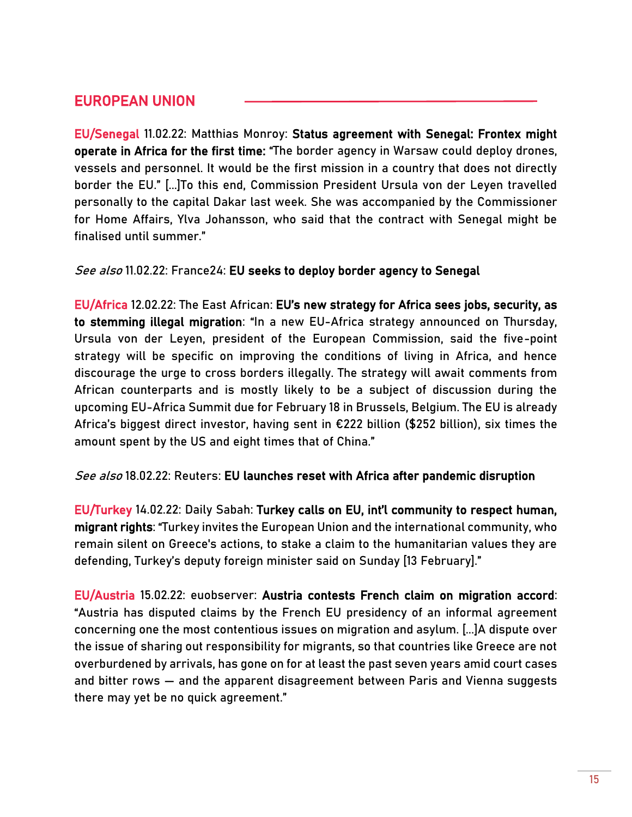# EUROPEAN UNION

EU/Senegal 11.02.22: Matthias Monroy: [Status agreement with Senegal: Frontex might](https://digit.site36.net/2022/02/11/status-agreement-with-senegal-frontex-wants-to-operate-in-africa-for-the-first-time/)  [operate in Africa for the first time:](https://digit.site36.net/2022/02/11/status-agreement-with-senegal-frontex-wants-to-operate-in-africa-for-the-first-time/) "The border agency in Warsaw could deploy drones, vessels and personnel. It would be the first mission in a country that does not directly border the EU." [...]To this end, Commission President Ursula von der Leyen travelled personally to the capital Dakar last week. She was accompanied by the Commissioner for Home Affairs, Ylva Johansson, who said that the contract with Senegal might be finalised until summer."

#### See also 11.02.22: France24: [EU seeks to deploy border agency to Senegal](https://www.france24.com/en/live-news/20220211-eu-seeks-to-deploy-border-agency-to-senegal?ref=tw)

EU/Africa 12.02.22: The East African: [EU's new strategy for Africa sees jobs, security, as](https://www.theeastafrican.co.ke/tea/news/east-africa/eu-s-strategy-africa-jobs-security-stemming-illegal-migration-3714018)  [to stemming illegal migration](https://www.theeastafrican.co.ke/tea/news/east-africa/eu-s-strategy-africa-jobs-security-stemming-illegal-migration-3714018): "In a new EU-Africa strategy announced on Thursday, Ursula von der Leyen, president of the European Commission, said the five-point strategy will be specific on improving the conditions of living in Africa, and hence discourage the urge to cross borders illegally. The strategy will await comments from African counterparts and is mostly likely to be a subject of discussion during the upcoming EU-Africa Summit due for February 18 in Brussels, Belgium. The EU is already Africa's biggest direct investor, having sent in €222 billion (\$252 billion), six times the amount spent by the US and eight times that of China."

#### See also 18.02.22: Reuters: EU launches reset with Africa after pandemic disruption

EU/Turkey 14.02.22: Daily Sabah: [Turkey calls on EU, int'l community to respect human,](https://www.dailysabah.com/politics/eu-affairs/turkey-calls-on-eu-intl-community-to-respect-human-migrant-rights)  [migrant rights](https://www.dailysabah.com/politics/eu-affairs/turkey-calls-on-eu-intl-community-to-respect-human-migrant-rights): "Turkey invites the European Union and the international community, who remain silent on Greece's actions, to stake a claim to the humanitarian values they are defending, Turkey's deputy foreign minister said on Sunday [13 February]."

EU/Austria 15.02.22: euobserver[: Austria contests French claim on migration accord:](https://euobserver.com/migration/154312) "Austria has disputed claims by the French EU presidency of an informal agreement concerning one the most contentious issues on migration and asylum. [...]A dispute over the issue of sharing out responsibility for migrants, so that countries like Greece are not overburdened by arrivals, has gone on for at least the past seven years amid court cases and bitter rows — and the apparent disagreement between Paris and Vienna suggests there may yet be no quick agreement."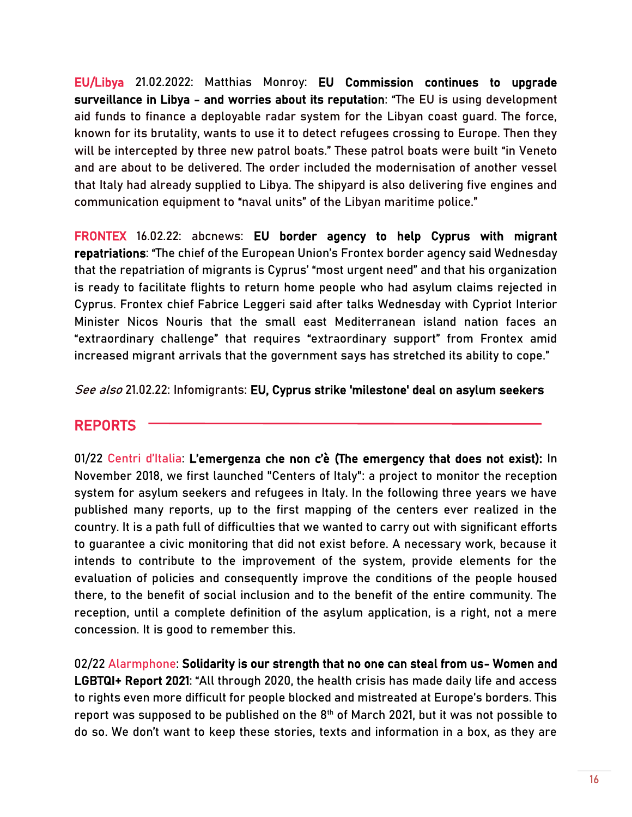EU/Libya 21.02.2022: Matthias Monroy: [EU Commission continues to upgrade](https://digit.site36.net/2022/02/21/eu-commission-continues-to-upgrade-surveillance-in-libya-and-worries-about-its-reputation/)  [surveillance in Libya - and worries about its reputation:](https://digit.site36.net/2022/02/21/eu-commission-continues-to-upgrade-surveillance-in-libya-and-worries-about-its-reputation/) "The EU is using development aid funds to finance a deployable radar system for the Libyan coast guard. The force, known for its brutality, wants to use it to detect refugees crossing to Europe. Then they will be intercepted by three new patrol boats." These patrol boats were built "in Veneto and are about to be delivered. The order included the modernisation of another vessel that Italy had already supplied to Libya. The shipyard is also delivering five engines and communication equipment to "naval units" of the Libyan maritime police."

FRONTEX 16.02.22: abcnews[: EU border agency to help Cyprus with migrant](https://abcnews.go.com/International/wireStory/eu-border-agency-cyprus-migrant-repatriations-82935120)  [repatriations](https://abcnews.go.com/International/wireStory/eu-border-agency-cyprus-migrant-repatriations-82935120): "The chief of the European Union's Frontex border agency said Wednesday that the repatriation of migrants is Cyprus' "most urgent need" and that his organization is ready to facilitate flights to return home people who had asylum claims rejected in Cyprus. Frontex chief Fabrice Leggeri said after talks Wednesday with Cypriot Interior Minister Nicos Nouris that the small east Mediterranean island nation faces an "extraordinary challenge" that requires "extraordinary support" from Frontex amid increased migrant arrivals that the government says has stretched its ability to cope."

See also 21.02.22: Infomigrants[: EU, Cyprus strike 'milestone' deal on asylum seekers](https://www.infomigrants.net/en/post/38688/eu-cyprus-strike-milestone-deal-on-asylum-seekers)

# REPORTS

01/22 Centri d'Italia: [L'emergenza che non c'è](https://migrantidb.s3.eu-central-1.amazonaws.com/rapporti_pdf/centri_ditalia_lemergenzachenonce.pdf) (The emergency that does not exist): In November 2018, we first launched "Centers of Italy": a project to monitor the reception system for asylum seekers and refugees in Italy. In the following three years we have published many reports, up to the first mapping of the centers ever realized in the country. It is a path full of difficulties that we wanted to carry out with significant efforts to guarantee a civic monitoring that did not exist before. A necessary work, because it intends to contribute to the improvement of the system, provide elements for the evaluation of policies and consequently improve the conditions of the people housed there, to the benefit of social inclusion and to the benefit of the entire community. The reception, until a complete definition of the asylum application, is a right, not a mere concession. It is good to remember this.

02/22 Alarmphone: Solidarity is our strength that no one can steal from us- Women and [LGBTQI+ Report 2021](https://alarmphone.org/en/2022/02/02/solidarity-is-our-strength-that-no-one-can-steal-from-us/?fbclid=IwAR3kikGrp5lLU42uwpHlpC98jJSTrHsHbK07ugbwQ8J5pAu9cBR7Dffrif4): "All through 2020, the health crisis has made daily life and access to rights even more difficult for people blocked and mistreated at Europe's borders. This report was supposed to be published on the 8<sup>th</sup> of March 2021, but it was not possible to do so. We don't want to keep these stories, texts and information in a box, as they are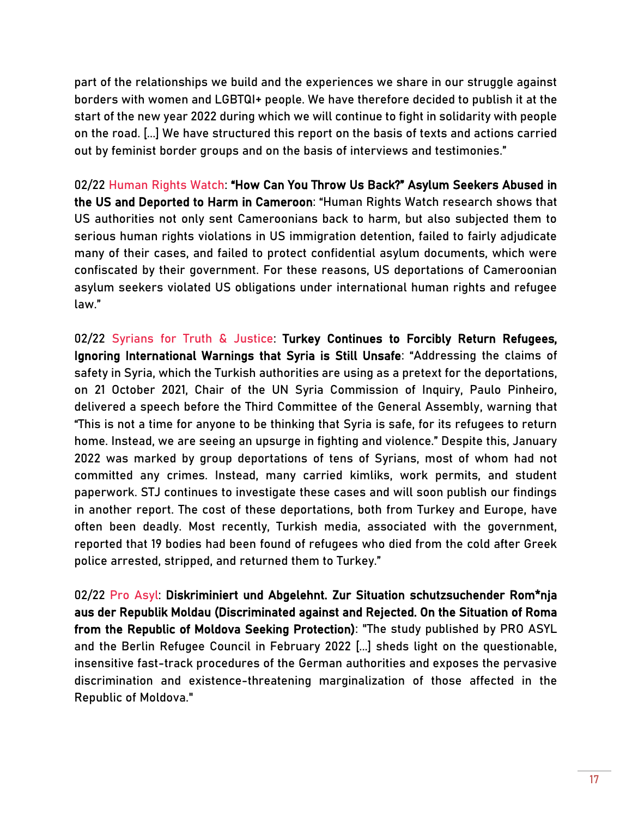part of the relationships we build and the experiences we share in our struggle against borders with women and LGBTQI+ people. We have therefore decided to publish it at the start of the new year 2022 during which we will continue to fight in solidarity with people on the road. [...] We have structured this report on the basis of texts and actions carried out by feminist border groups and on the basis of interviews and testimonies."

02/22 Human Rights Watch: "How Can You Throw Us Back?" Asylum Seekers Abused in [the US and Deported to Harm in Cameroon](https://www.hrw.org/report/2022/02/10/how-can-you-throw-us-back/asylum-seekers-abused-us-and-deported-harm-cameroon): "Human Rights Watch research shows that US authorities not only sent Cameroonians back to harm, but also subjected them to serious human rights violations in US immigration detention, failed to fairly adjudicate many of their cases, and failed to protect confidential asylum documents, which were confiscated by their government. For these reasons, US deportations of Cameroonian asylum seekers violated US obligations under international human rights and refugee law."

02/22 Syrians for Truth & Justice: [Turkey Continues to Forcibly Return Refugees,](https://stj-sy.org/wp-content/uploads/2022/02/Turkey-Continues-to-Forcibly-Return-Refugees.pdf)  [Ignoring International Warnings that Syria is Still Unsafe](https://stj-sy.org/wp-content/uploads/2022/02/Turkey-Continues-to-Forcibly-Return-Refugees.pdf): "Addressing the claims of safety in Syria, which the Turkish authorities are using as a pretext for the deportations, on 21 October 2021, Chair of the UN Syria Commission of Inquiry, Paulo Pinheiro, delivered a speech before the Third Committee of the General Assembly, warning that "This is not a time for anyone to be thinking that Syria is safe, for its refugees to return home. Instead, we are seeing an upsurge in fighting and violence." Despite this, January 2022 was marked by group deportations of tens of Syrians, most of whom had not committed any crimes. Instead, many carried kimliks, work permits, and student paperwork. STJ continues to investigate these cases and will soon publish our findings in another report. The cost of these deportations, both from Turkey and Europe, have often been deadly. Most recently, Turkish media, associated with the government, reported that 19 bodies had been found of refugees who died from the cold after Greek police arrested, stripped, and returned them to Turkey."

02/22 Pro Asyl: [Diskriminiert und Abgelehnt. Zur Situation schutzsuchender Rom\\*nja](https://www.proasyl.de/wp-content/uploads/220210_BHP_PA_Moldau_final-1.pdf)  [aus der Republik Moldau](https://www.proasyl.de/wp-content/uploads/220210_BHP_PA_Moldau_final-1.pdf) (Discriminated against and Rejected. On the Situation of Roma from the Republic of Moldova Seeking Protection): "The study published by PRO ASYL and the Berlin Refugee Council in February 2022 [...] sheds light on the questionable, insensitive fast-track procedures of the German authorities and exposes the pervasive discrimination and existence-threatening marginalization of those affected in the Republic of Moldova."